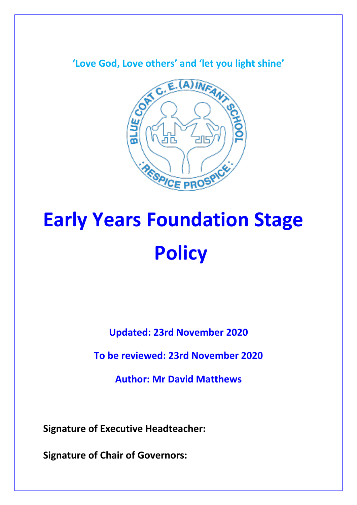**'Love God, Love others' and 'let you light shine'**



# **Early Years Foundation Stage Policy**

**Updated: 23rd November 2020**

**To be reviewed: 23rd November 2020**

**Author: Mr David Matthews**

**Signature of Executive Headteacher:** 

**Signature of Chair of Governors:**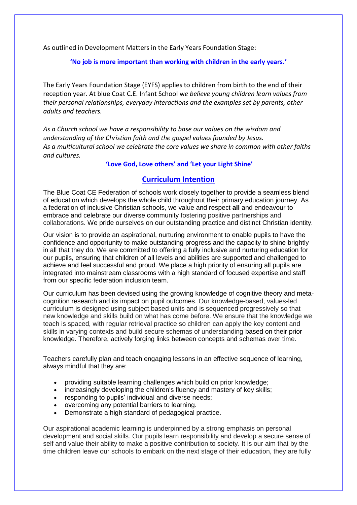As outlined in Development Matters in the Early Years Foundation Stage:

#### **'No job is more important than working with children in the early years.'**

The Early Years Foundation Stage (EYFS) applies to children from birth to the end of their reception year. At blue Coat C.E. Infant School w*e believe young children learn values from their personal relationships, everyday interactions and the examples set by parents, other adults and teachers.*

*As a Church school we have a responsibility to base our values on the wisdom and understanding of the Christian faith and the gospel values founded by Jesus. As a multicultural school we celebrate the core values we share in common with other faiths and cultures.*

#### **'Love God, Love others' and 'Let your Light Shine'**

## **Curriculum Intention**

The Blue Coat CE Federation of schools work closely together to provide a seamless blend of education which develops the whole child throughout their primary education journey. As a federation of inclusive Christian schools, we value and respect **all** and endeavour to embrace and celebrate our diverse community fostering positive partnerships and collaborations. We pride ourselves on our outstanding practice and distinct Christian identity.

Our vision is to provide an aspirational, nurturing environment to enable pupils to have the confidence and opportunity to make outstanding progress and the capacity to shine brightly in all that they do. We are committed to offering a fully inclusive and nurturing education for our pupils, ensuring that children of all levels and abilities are supported and challenged to achieve and feel successful and proud. We place a high priority of ensuring all pupils are integrated into mainstream classrooms with a high standard of focused expertise and staff from our specific federation inclusion team.

Our curriculum has been devised using the growing knowledge of cognitive theory and metacognition research and its impact on pupil outcomes. Our knowledge-based, values-led curriculum is designed using subject based units and is sequenced progressively so that new knowledge and skills build on what has come before. We ensure that the knowledge we teach is spaced, with regular retrieval practice so children can apply the key content and skills in varying contexts and build secure schemas of understanding based on their prior knowledge. Therefore, actively forging links between concepts and schemas over time.

Teachers carefully plan and teach engaging lessons in an effective sequence of learning, always mindful that they are:

- providing suitable learning challenges which build on prior knowledge;
- increasingly developing the children's fluency and mastery of key skills;
- responding to pupils' individual and diverse needs;
- overcoming any potential barriers to learning.
- Demonstrate a high standard of pedagogical practice.

Our aspirational academic learning is underpinned by a strong emphasis on personal development and social skills. Our pupils learn responsibility and develop a secure sense of self and value their ability to make a positive contribution to society. It is our aim that by the time children leave our schools to embark on the next stage of their education, they are fully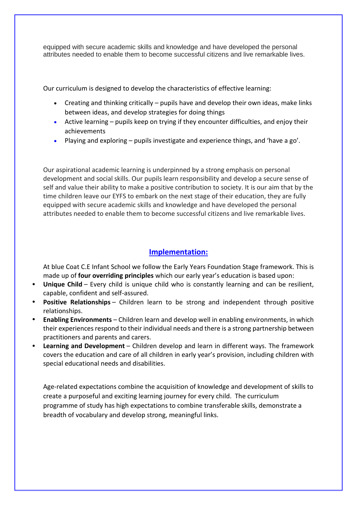equipped with secure academic skills and knowledge and have developed the personal attributes needed to enable them to become successful citizens and live remarkable lives.

Our curriculum is designed to develop the characteristics of effective learning:

- Creating and thinking critically pupils have and develop their own ideas, make links between ideas, and develop strategies for doing things
- Active learning pupils keep on trying if they encounter difficulties, and enjoy their achievements
- Playing and exploring pupils investigate and experience things, and 'have a go'.

Our aspirational academic learning is underpinned by a strong emphasis on personal development and social skills. Our pupils learn responsibility and develop a secure sense of self and value their ability to make a positive contribution to society. It is our aim that by the time children leave our EYFS to embark on the next stage of their education, they are fully equipped with secure academic skills and knowledge and have developed the personal attributes needed to enable them to become successful citizens and live remarkable lives.

## **Implementation:**

At blue Coat C.E Infant School we follow the Early Years Foundation Stage framework. This is made up of **four overriding principles** which our early year's education is based upon:

- **Unique Child** Every child is unique child who is constantly learning and can be resilient, capable, confident and self-assured.
- **Positive Relationships** Children learn to be strong and independent through positive relationships.
- **Enabling Environments** Children learn and develop well in enabling environments, in which their experiences respond to their individual needs and there is a strong partnership between practitioners and parents and carers.
- **Learning and Development** Children develop and learn in different ways. The framework covers the education and care of all children in early year's provision, including children with special educational needs and disabilities.

Age-related expectations combine the acquisition of knowledge and development of skills to create a purposeful and exciting learning journey for every child. The curriculum programme of study has high expectations to combine transferable skills, demonstrate a breadth of vocabulary and develop strong, meaningful links.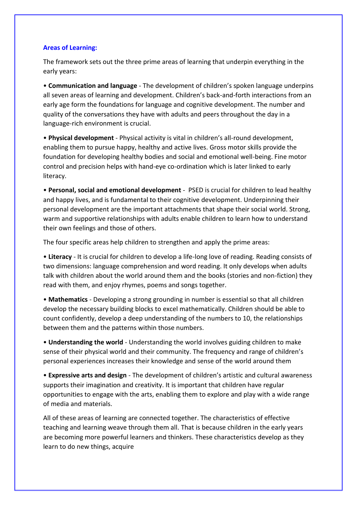## **Areas of Learning:**

The framework sets out the three prime areas of learning that underpin everything in the early years:

• **Communication and language** - The development of children's spoken language underpins all seven areas of learning and development. Children's back-and-forth interactions from an early age form the foundations for language and cognitive development. The number and quality of the conversations they have with adults and peers throughout the day in a language-rich environment is crucial.

• **Physical development** - Physical activity is vital in children's all-round development, enabling them to pursue happy, healthy and active lives. Gross motor skills provide the foundation for developing healthy bodies and social and emotional well-being. Fine motor control and precision helps with hand-eye co-ordination which is later linked to early literacy.

• **Personal, social and emotional development** - PSED is crucial for children to lead healthy and happy lives, and is fundamental to their cognitive development. Underpinning their personal development are the important attachments that shape their social world. Strong, warm and supportive relationships with adults enable children to learn how to understand their own feelings and those of others.

The four specific areas help children to strengthen and apply the prime areas:

• **Literacy** - It is crucial for children to develop a life-long love of reading. Reading consists of two dimensions: language comprehension and word reading. It only develops when adults talk with children about the world around them and the books (stories and non-fiction) they read with them, and enjoy rhymes, poems and songs together.

• **Mathematics** - Developing a strong grounding in number is essential so that all children develop the necessary building blocks to excel mathematically. Children should be able to count confidently, develop a deep understanding of the numbers to 10, the relationships between them and the patterns within those numbers.

• **Understanding the world** - Understanding the world involves guiding children to make sense of their physical world and their community. The frequency and range of children's personal experiences increases their knowledge and sense of the world around them

• **Expressive arts and design** - The development of children's artistic and cultural awareness supports their imagination and creativity. It is important that children have regular opportunities to engage with the arts, enabling them to explore and play with a wide range of media and materials.

All of these areas of learning are connected together. The characteristics of effective teaching and learning weave through them all. That is because children in the early years are becoming more powerful learners and thinkers. These characteristics develop as they learn to do new things, acquire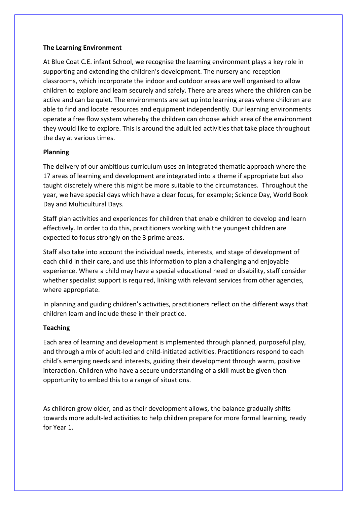## **The Learning Environment**

At Blue Coat C.E. infant School, we recognise the learning environment plays a key role in supporting and extending the children's development. The nursery and reception classrooms, which incorporate the indoor and outdoor areas are well organised to allow children to explore and learn securely and safely. There are areas where the children can be active and can be quiet. The environments are set up into learning areas where children are able to find and locate resources and equipment independently. Our learning environments operate a free flow system whereby the children can choose which area of the environment they would like to explore. This is around the adult led activities that take place throughout the day at various times.

## **Planning**

The delivery of our ambitious curriculum uses an integrated thematic approach where the 17 areas of learning and development are integrated into a theme if appropriate but also taught discretely where this might be more suitable to the circumstances. Throughout the year, we have special days which have a clear focus, for example; Science Day, World Book Day and Multicultural Days.

Staff plan activities and experiences for children that enable children to develop and learn effectively. In order to do this, practitioners working with the youngest children are expected to focus strongly on the 3 prime areas.

Staff also take into account the individual needs, interests, and stage of development of each child in their care, and use this information to plan a challenging and enjoyable experience. Where a child may have a special educational need or disability, staff consider whether specialist support is required, linking with relevant services from other agencies, where appropriate.

In planning and guiding children's activities, practitioners reflect on the different ways that children learn and include these in their practice.

## **Teaching**

Each area of learning and development is implemented through planned, purposeful play, and through a mix of adult-led and child-initiated activities. Practitioners respond to each child's emerging needs and interests, guiding their development through warm, positive interaction. Children who have a secure understanding of a skill must be given then opportunity to embed this to a range of situations.

As children grow older, and as their development allows, the balance gradually shifts towards more adult-led activities to help children prepare for more formal learning, ready for Year 1.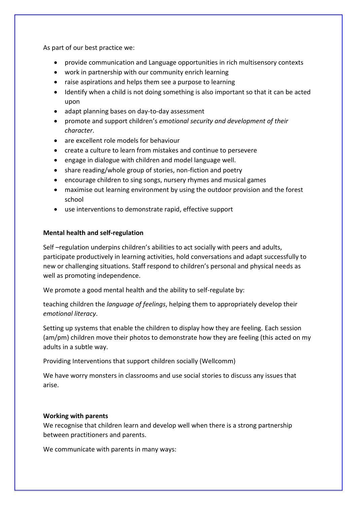As part of our best practice we:

- provide communication and Language opportunities in rich multisensory contexts
- work in partnership with our community enrich learning
- raise aspirations and helps them see a purpose to learning
- Identify when a child is not doing something is also important so that it can be acted upon
- adapt planning bases on day-to-day assessment
- promote and support children's *emotional security and development of their character*.
- are excellent role models for behaviour
- create a culture to learn from mistakes and continue to persevere
- engage in dialogue with children and model language well.
- share reading/whole group of stories, non-fiction and poetry
- encourage children to sing songs, nursery rhymes and musical games
- maximise out learning environment by using the outdoor provision and the forest school
- use interventions to demonstrate rapid, effective support

## **Mental health and self-regulation**

Self –regulation underpins children's abilities to act socially with peers and adults, participate productively in learning activities, hold conversations and adapt successfully to new or challenging situations. Staff respond to children's personal and physical needs as well as promoting independence.

We promote a good mental health and the ability to self-regulate by:

teaching children the *language of feelings*, helping them to appropriately develop their *emotional literacy*.

Setting up systems that enable the children to display how they are feeling. Each session (am/pm) children move their photos to demonstrate how they are feeling (this acted on my adults in a subtle way.

Providing Interventions that support children socially (Wellcomm)

We have worry monsters in classrooms and use social stories to discuss any issues that arise.

## **Working with parents**

We recognise that children learn and develop well when there is a strong partnership between practitioners and parents.

We communicate with parents in many ways: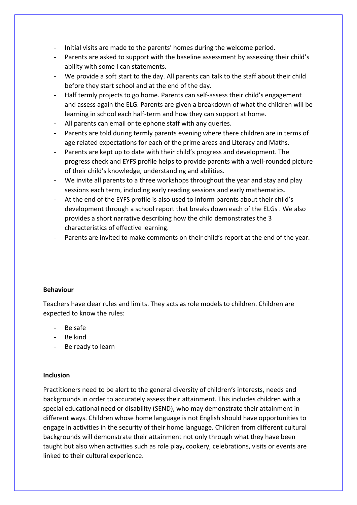- Initial visits are made to the parents' homes during the welcome period.
- Parents are asked to support with the baseline assessment by assessing their child's ability with some I can statements.
- We provide a soft start to the day. All parents can talk to the staff about their child before they start school and at the end of the day.
- Half termly projects to go home. Parents can self-assess their child's engagement and assess again the ELG. Parents are given a breakdown of what the children will be learning in school each half-term and how they can support at home.
- All parents can email or telephone staff with any queries.
- Parents are told during termly parents evening where there children are in terms of age related expectations for each of the prime areas and Literacy and Maths.
- Parents are kept up to date with their child's progress and development. The progress check and EYFS profile helps to provide parents with a well-rounded picture of their child's knowledge, understanding and abilities.
- We invite all parents to a three workshops throughout the year and stay and play sessions each term, including early reading sessions and early mathematics.
- At the end of the EYFS profile is also used to inform parents about their child's development through a school report that breaks down each of the ELGs . We also provides a short narrative describing how the child demonstrates the 3 characteristics of effective learning.
- Parents are invited to make comments on their child's report at the end of the year.

## **Behaviour**

Teachers have clear rules and limits. They acts as role models to children. Children are expected to know the rules:

- Be safe
- Be kind
- Be ready to learn

## **Inclusion**

Practitioners need to be alert to the general diversity of children's interests, needs and backgrounds in order to accurately assess their attainment. This includes children with a special educational need or disability (SEND), who may demonstrate their attainment in different ways. Children whose home language is not English should have opportunities to engage in activities in the security of their home language. Children from different cultural backgrounds will demonstrate their attainment not only through what they have been taught but also when activities such as role play, cookery, celebrations, visits or events are linked to their cultural experience.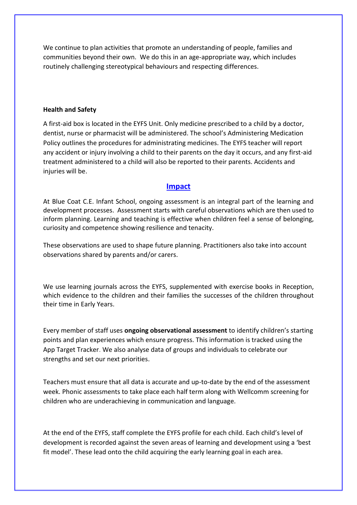We continue to plan activities that promote an understanding of people, families and communities beyond their own. We do this in an age-appropriate way, which includes routinely challenging stereotypical behaviours and respecting differences.

#### **Health and Safety**

A first-aid box is located in the EYFS Unit. Only medicine prescribed to a child by a doctor, dentist, nurse or pharmacist will be administered. The school's Administering Medication Policy outlines the procedures for administrating medicines. The EYFS teacher will report any accident or injury involving a child to their parents on the day it occurs, and any first-aid treatment administered to a child will also be reported to their parents. Accidents and injuries will be.

## **Impact**

At Blue Coat C.E. Infant School, ongoing assessment is an integral part of the learning and development processes. Assessment starts with careful observations which are then used to inform planning. Learning and teaching is effective when children feel a sense of belonging, curiosity and competence showing resilience and tenacity.

These observations are used to shape future planning. Practitioners also take into account observations shared by parents and/or carers.

We use learning journals across the EYFS, supplemented with exercise books in Reception, which evidence to the children and their families the successes of the children throughout their time in Early Years.

Every member of staff uses **ongoing observational assessment** to identify children's starting points and plan experiences which ensure progress. This information is tracked using the App Target Tracker. We also analyse data of groups and individuals to celebrate our strengths and set our next priorities.

Teachers must ensure that all data is accurate and up-to-date by the end of the assessment week. Phonic assessments to take place each half term along with Wellcomm screening for children who are underachieving in communication and language.

At the end of the EYFS, staff complete the EYFS profile for each child. Each child's level of development is recorded against the seven areas of learning and development using a 'best fit model'. These lead onto the child acquiring the early learning goal in each area.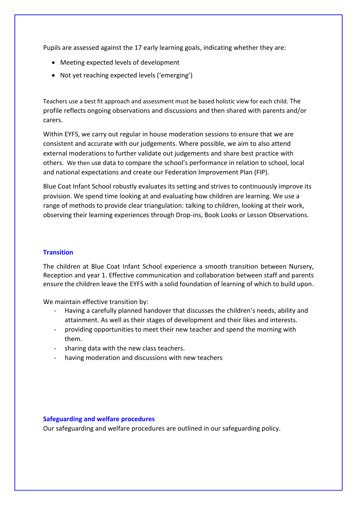Pupils are assessed against the 17 early learning goals, indicating whether they are:

- Meeting expected levels of development
- Not yet reaching expected levels ('emerging')

Teachers use a best fit approach and assessment must be based holistic view for each child. The profile reflects ongoing observations and discussions and then shared with parents and/or carers.

Within EYFS, we carry out regular in house moderation sessions to ensure that we are consistent and accurate with our judgements. Where possible, we aim to also attend external moderations to further validate out judgements and share best practice with others. We then use data to compare the school's performance in relation to school, local and national expectations and create our Federation Improvement Plan (FIP).

Blue Coat Infant School robustly evaluates its setting and strives to continuously improve its provision. We spend time looking at and evaluating how children are learning. We use a range of methods to provide clear triangulation: talking to children, looking at their work, observing their learning experiences through Drop-ins, Book Looks or Lesson Observations.

## **Transition**

The children at Blue Coat Infant School experience a smooth transition between Nursery, Reception and year 1. Effective communication and collaboration between staff and parents ensure the children leave the EYFS with a solid foundation of learning of which to build upon.

We maintain effective transition by:

- Having a carefully planned handover that discusses the children's needs, ability and attainment. As well as their stages of development and their likes and interests.
- providing opportunities to meet their new teacher and spend the morning with them.
- sharing data with the new class teachers.
- having moderation and discussions with new teachers

## **Safeguarding and welfare procedures**

Our safeguarding and welfare procedures are outlined in our safeguarding policy.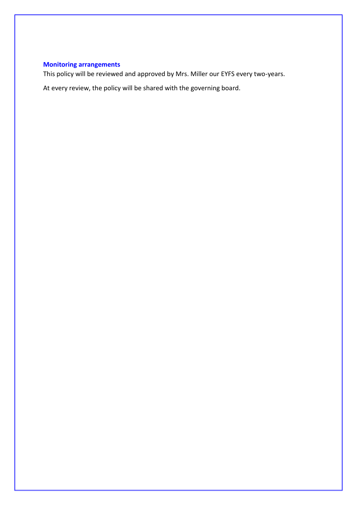## **Monitoring arrangements**

This policy will be reviewed and approved by Mrs. Miller our EYFS every two-years.

At every review, the policy will be shared with the governing board.